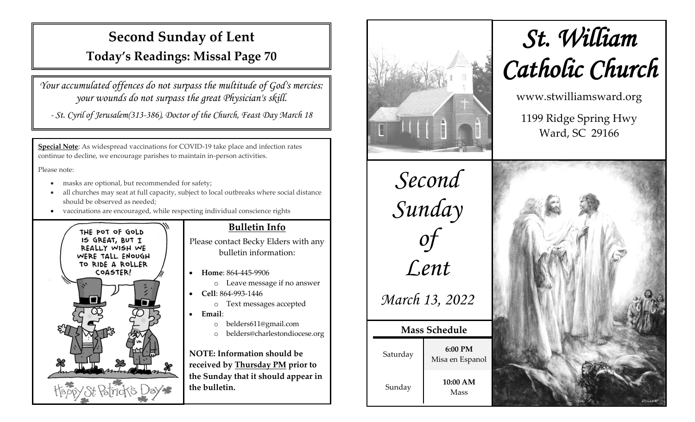## **Second Sunday of Lent**

**Today's Readings: Missal Page 70**

*Your accumulated offences do not surpass the multitude of God's mercies: your wounds do not surpass the great Physician's skill.*

*- St. Cyril of Jerusalem(313-386), Doctor of the Church, Feast Day March 18*

**Special Note**: As widespread vaccinations for COVID-19 take place and infection rates continue to decline, we encourage parishes to maintain in-person activities.

Please note:

- masks are optional, but recommended for safety;
- all churches may seat at full capacity, subject to local outbreaks where social distance should be observed as needed;
- vaccinations are encouraged, while respecting individual conscience rights



#### **Bulletin Info**

Please contact Becky Elders with any bulletin information:

- **Home**: 864-445-9906
	- o Leave message if no answer
- **Cell**: 864-993-1446
	- o Text messages accepted
- **Email**:
	- o belders611@gmail.com
	- o belders@charlestondiocese.org

**NOTE: Information should be received by Thursday PM prior to the Sunday that it should appear in the bulletin.**